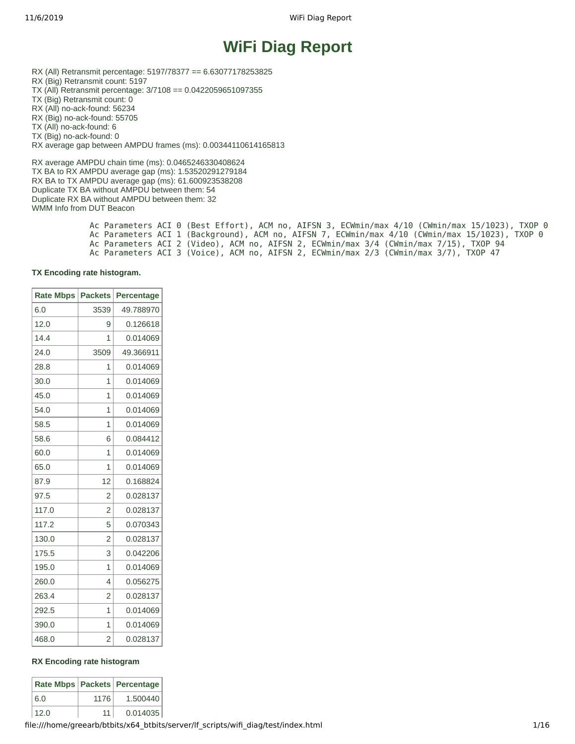# **WiFi Diag Report**

RX (All) Retransmit percentage: 5197/78377 == 6.63077178253825 RX (Big) Retransmit count: 5197 TX (All) Retransmit percentage: 3/7108 == 0.0422059651097355 TX (Big) Retransmit count: 0 RX (All) no-ack-found: 56234 RX (Big) no-ack-found: 55705 TX (All) no-ack-found: 6 TX (Big) no-ack-found: 0 RX average gap between AMPDU frames (ms): 0.00344110614165813 RX average AMPDU chain time (ms): 0.0465246330408624

TX BA to RX AMPDU average gap (ms): 1.53520291279184 RX BA to TX AMPDU average gap (ms): 61.600923538208 Duplicate TX BA without AMPDU between them: 54 Duplicate RX BA without AMPDU between them: 32 WMM Info from DUT Beacon

 Ac Parameters ACI 0 (Best Effort), ACM no, AIFSN 3, ECWmin/max 4/10 (CWmin/max 15/1023), TXOP 0 Ac Parameters ACI 1 (Background), ACM no, AIFSN 7, ECWmin/max 4/10 (CWmin/max 15/1023), TXOP 0 Ac Parameters ACI 2 (Video), ACM no, AIFSN 2, ECWmin/max 3/4 (CWmin/max 7/15), TXOP 94 Ac Parameters ACI 3 (Voice), ACM no, AIFSN 2, ECWmin/max 2/3 (CWmin/max 3/7), TXOP 47

#### **TX Encoding rate histogram.**

 $\overline{\phantom{0}}$ 

| <b>Rate Mbps</b> | <b>Packets</b> | <b>Percentage</b> |
|------------------|----------------|-------------------|
| 6.0              | 3539           | 49.788970         |
| 12.0             | 9              | 0.126618          |
| 14.4             | 1              | 0.014069          |
| 24.0             | 3509           | 49.366911         |
| 28.8             | 1              | 0.014069          |
| 30.0             | 1              | 0.014069          |
| 45.0             | 1              | 0.014069          |
| 54.0             | 1              | 0.014069          |
| 58.5             | $\mathbf{1}$   | 0.014069          |
| 58.6             | 6              | 0.084412          |
| 60.0             | 1              | 0.014069          |
| 65.0             | 1              | 0.014069          |
| 87.9             | 12             | 0.168824          |
| 97.5             | 2              | 0.028137          |
| 117.0            | 2              | 0.028137          |
| 117.2            | 5              | 0.070343          |
| 130.0            | $\overline{c}$ | 0.028137          |
| 175.5            | 3              | 0.042206          |
| 195.0            | 1              | 0.014069          |
| 260.0            | 4              | 0.056275          |
| 263.4            | 2              | 0.028137          |
| 292.5            | 1              | 0.014069          |
| 390.0            | 1              | 0.014069          |
| 468.0            | $\overline{c}$ | 0.028137          |

#### **RX Encoding rate histogram**

|      |      | Rate Mbps   Packets   Percentage |
|------|------|----------------------------------|
| 6.0  | 1176 | 1.500440                         |
| 12.0 | 11   | 0.014035                         |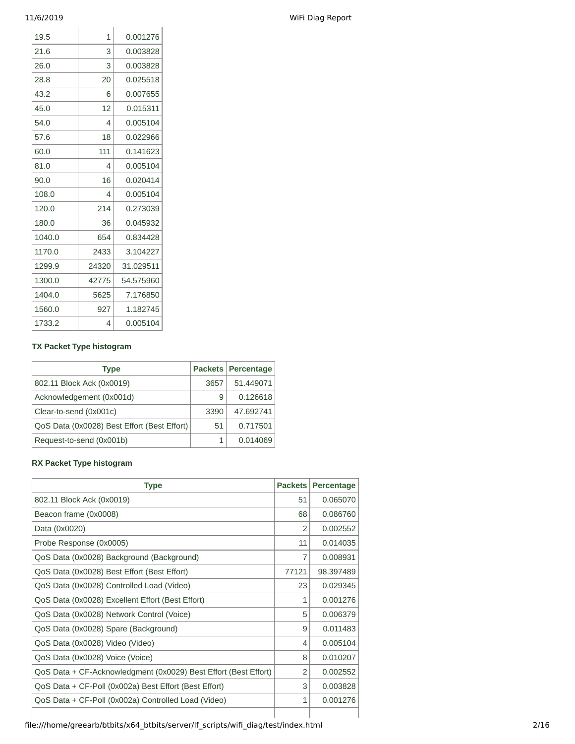| 19.5   | 1        | 0.001276  |
|--------|----------|-----------|
| 21.6   | 3        | 0.003828  |
| 26.0   | 3        | 0.003828  |
| 28.8   | 20       | 0.025518  |
| 43.2   | 6        | 0.007655  |
| 45.0   | 12       | 0.015311  |
| 54.0   | 4        | 0.005104  |
| 57.6   | 18       | 0.022966  |
| 60.0   | 111      | 0.141623  |
| 81.0   | 4        | 0.005104  |
| 90.0   | 16       | 0.020414  |
| 108.0  | $\Delta$ | 0.005104  |
| 120.0  | 214      | 0.273039  |
| 180.0  | 36       | 0.045932  |
| 1040.0 | 654      | 0.834428  |
| 1170.0 | 2433     | 3.104227  |
| 1299.9 | 24320    | 31.029511 |
| 1300.0 | 42775    | 54.575960 |
| 1404.0 | 5625     | 7.176850  |
| 1560.0 | 927      | 1.182745  |
| 1733.2 | 4        | 0.005104  |

### **TX Packet Type histogram**

| <b>Type</b>                                 |      | <b>Packets Percentage</b> |
|---------------------------------------------|------|---------------------------|
| 802.11 Block Ack (0x0019)                   | 3657 | 51.449071                 |
| Acknowledgement (0x001d)                    | 9    | 0.126618                  |
| Clear-to-send (0x001c)                      | 3390 | 47.692741                 |
| QoS Data (0x0028) Best Effort (Best Effort) | 51   | 0.717501                  |
| Request-to-send (0x001b)                    |      | 0.014069                  |

### **RX Packet Type histogram**

| <b>Type</b>                                                     | <b>Packets</b> | <b>Percentage</b> |
|-----------------------------------------------------------------|----------------|-------------------|
| 802.11 Block Ack (0x0019)                                       | 51             | 0.065070          |
| Beacon frame (0x0008)                                           | 68             | 0.086760          |
| Data (0x0020)                                                   | 2              | 0.002552          |
| Probe Response (0x0005)                                         | 11             | 0.014035          |
| QoS Data (0x0028) Background (Background)                       | 7              | 0.008931          |
| QoS Data (0x0028) Best Effort (Best Effort)                     | 77121          | 98.397489         |
| QoS Data (0x0028) Controlled Load (Video)                       | 23             | 0.029345          |
| QoS Data (0x0028) Excellent Effort (Best Effort)                | 1              | 0.001276          |
| QoS Data (0x0028) Network Control (Voice)                       | 5              | 0.006379          |
| QoS Data (0x0028) Spare (Background)                            | 9              | 0.011483          |
| QoS Data (0x0028) Video (Video)                                 | 4              | 0.005104          |
| QoS Data (0x0028) Voice (Voice)                                 | 8              | 0.010207          |
| QoS Data + CF-Acknowledgment (0x0029) Best Effort (Best Effort) | 2              | 0.002552          |
| QoS Data + CF-Poll (0x002a) Best Effort (Best Effort)           | 3              | 0.003828          |
| QoS Data + CF-Poll (0x002a) Controlled Load (Video)             | 1              | 0.001276          |
|                                                                 |                |                   |

# 11/6/2019 WiFi Diag Report

file:///home/greearb/btbits/x64\_btbits/server/lf\_scripts/wifi\_diag/test/index.html 2/16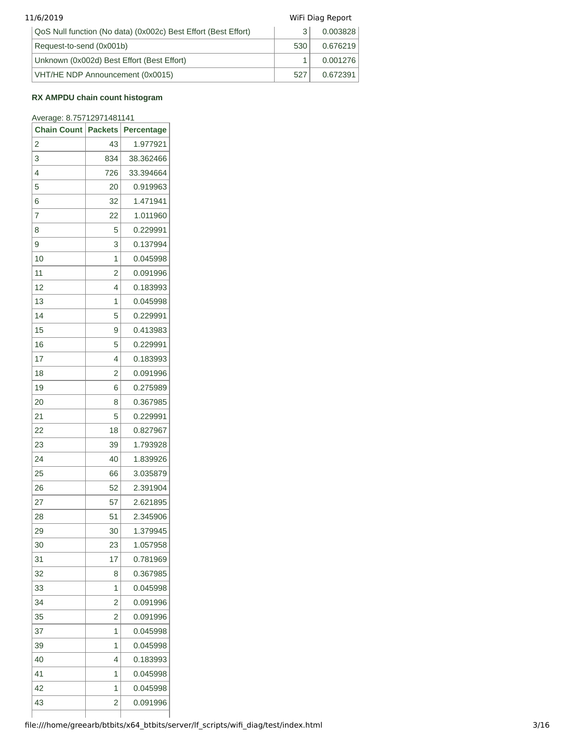| 11/6/2019 |                                                                |     | WiFi Diag Report |  |  |
|-----------|----------------------------------------------------------------|-----|------------------|--|--|
|           | QoS Null function (No data) (0x002c) Best Effort (Best Effort) | 3   | 0.003828         |  |  |
|           | Request-to-send (0x001b)                                       | 530 | 0.676219         |  |  |
|           | Unknown (0x002d) Best Effort (Best Effort)                     |     | 0.001276         |  |  |
|           | VHT/HE NDP Announcement (0x0015)                               | 527 | 0.672391         |  |  |

#### **RX AMPDU chain count histogram**

#### Average: 8.75712971481141

| <b>Chain Count</b> | <b>Packets</b> | Percentage |
|--------------------|----------------|------------|
| 2                  | 43             | 1.977921   |
| 3                  | 834            | 38.362466  |
| 4                  | 726            | 33.394664  |
| 5                  | 20             | 0.919963   |
| 6                  | 32             | 1.471941   |
| 7                  | 22             | 1.011960   |
| 8                  | 5              | 0.229991   |
| 9                  | 3              | 0.137994   |
| 10                 | 1              | 0.045998   |
| 11                 | 2              | 0.091996   |
| 12                 | 4              | 0.183993   |
| 13                 | 1              | 0.045998   |
| 14                 | 5              | 0.229991   |
| 15                 | 9              | 0.413983   |
| 16                 | 5              | 0.229991   |
| 17                 | 4              | 0.183993   |
| 18                 | 2              | 0.091996   |
| 19                 | 6              | 0.275989   |
| 20                 | 8              | 0.367985   |
| 21                 | 5              | 0.229991   |
| 22                 | 18             | 0.827967   |
| 23                 | 39             | 1.793928   |
| 24                 | 40             | 1.839926   |
| 25                 | 66             | 3.035879   |
| 26                 | 52             | 2.391904   |
| 27                 | 57             | 2.621895   |
| 28                 | 51             | 2.345906   |
| 29                 | 30             | 1.379945   |
| 30                 | 23             | 1.057958   |
| 31                 | 17             | 0.781969   |
| 32                 | 8              | 0.367985   |
| 33                 | 1              | 0.045998   |
| 34                 | 2              | 0.091996   |
| 35                 | 2              | 0.091996   |
| 37                 | 1              | 0.045998   |
| 39                 | 1              | 0.045998   |
| 40                 | 4              | 0.183993   |
| 41                 | 1              | 0.045998   |
| 42                 | 1              | 0.045998   |
| 43                 | 2              | 0.091996   |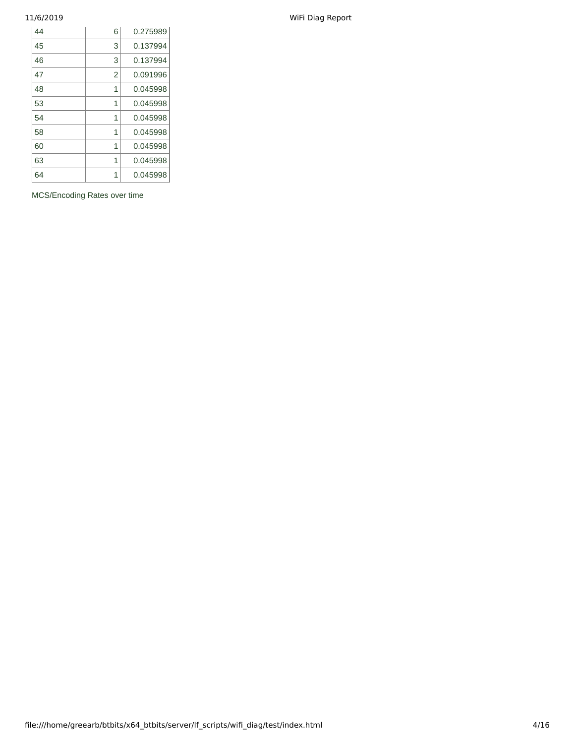| 6              | 0.275989 |
|----------------|----------|
| 3              | 0.137994 |
| 3              | 0.137994 |
| $\overline{2}$ | 0.091996 |
| $\mathbf{1}$   | 0.045998 |
| 1              | 0.045998 |
| $\mathbf{1}$   | 0.045998 |
| 1              | 0.045998 |
| $\mathbf{1}$   | 0.045998 |
| 1              | 0.045998 |
| 1              | 0.045998 |
|                |          |

MCS/Encoding Rates over time

11/6/2019 WiFi Diag Report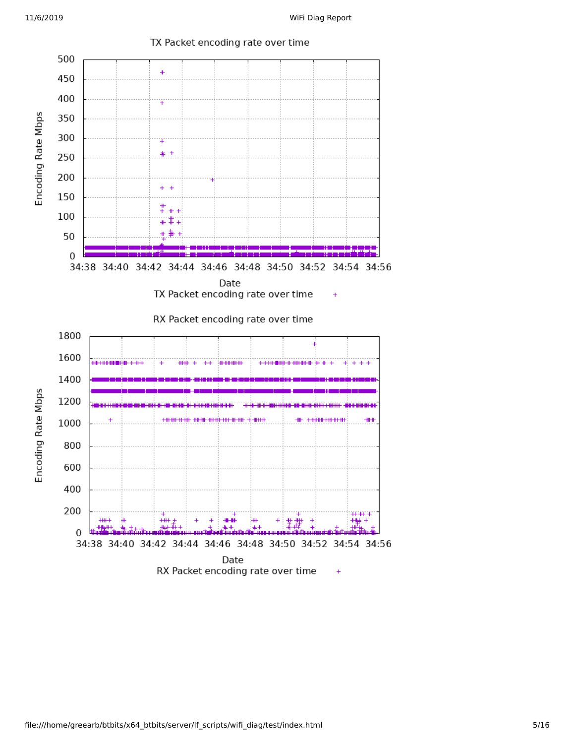

TX Packet encoding rate over time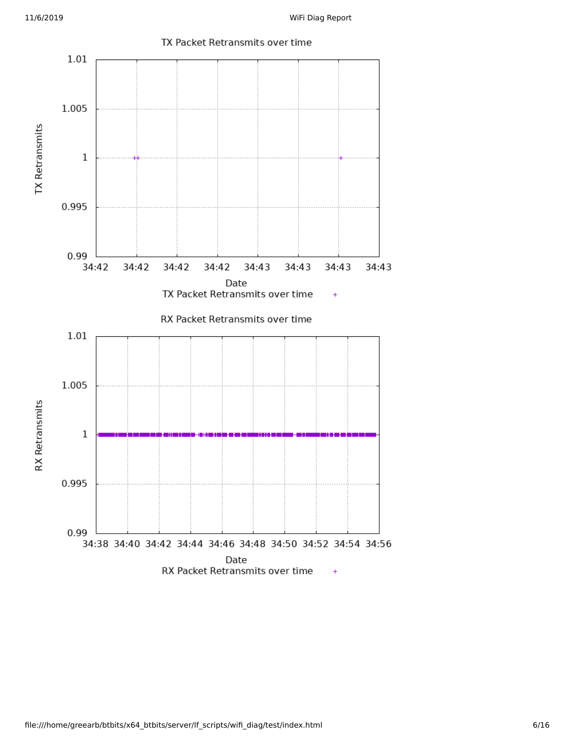

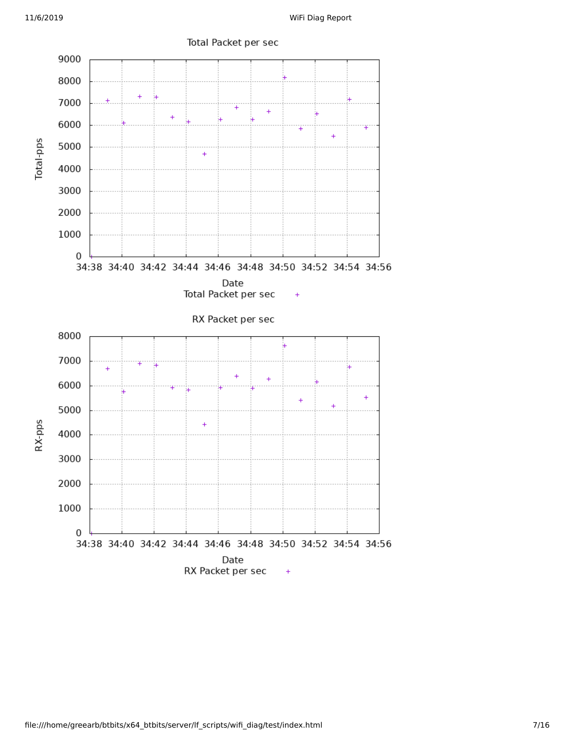

## Total Packet per sec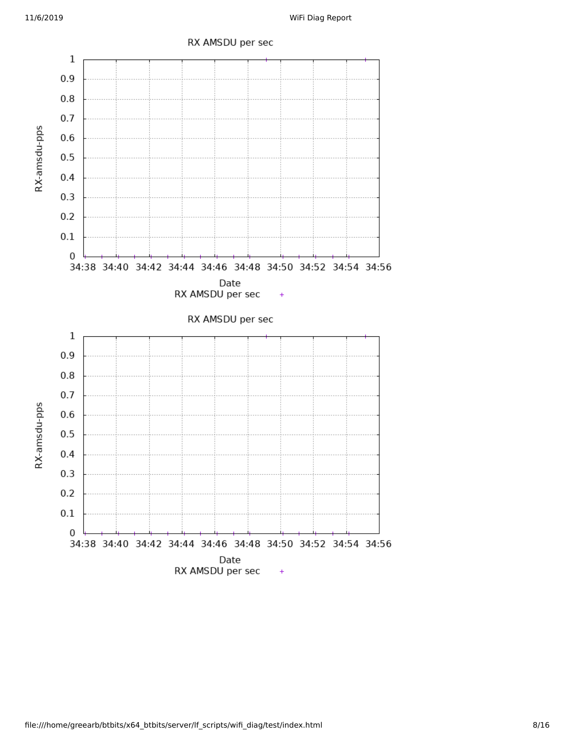

## RX AMSDU per sec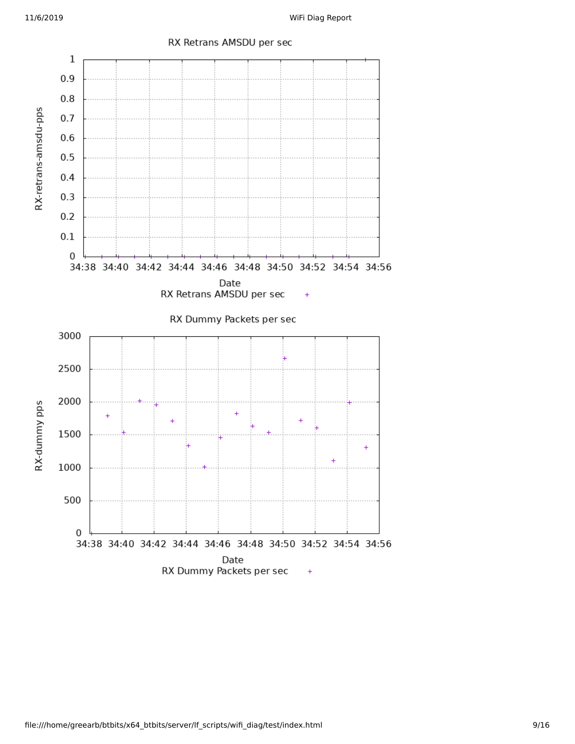

### RX Retrans AMSDU per sec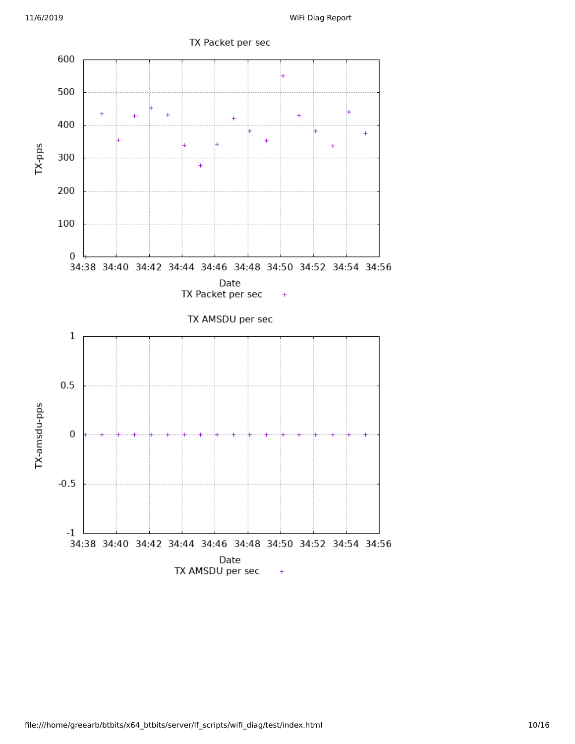

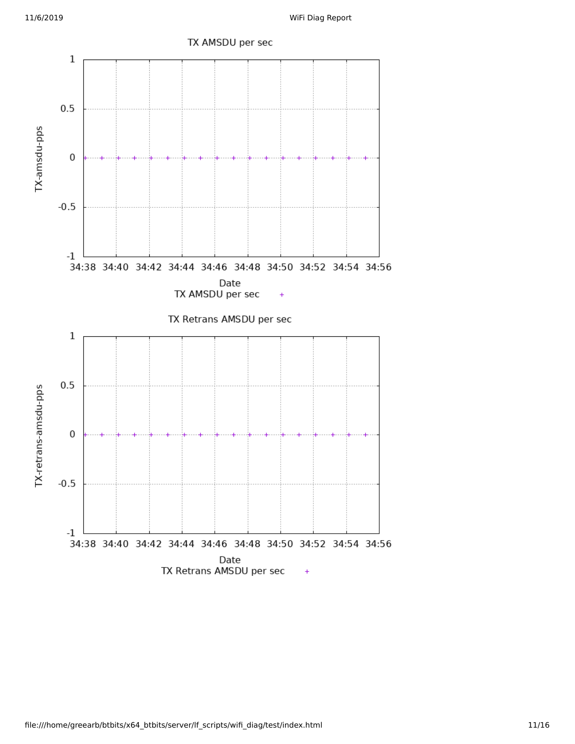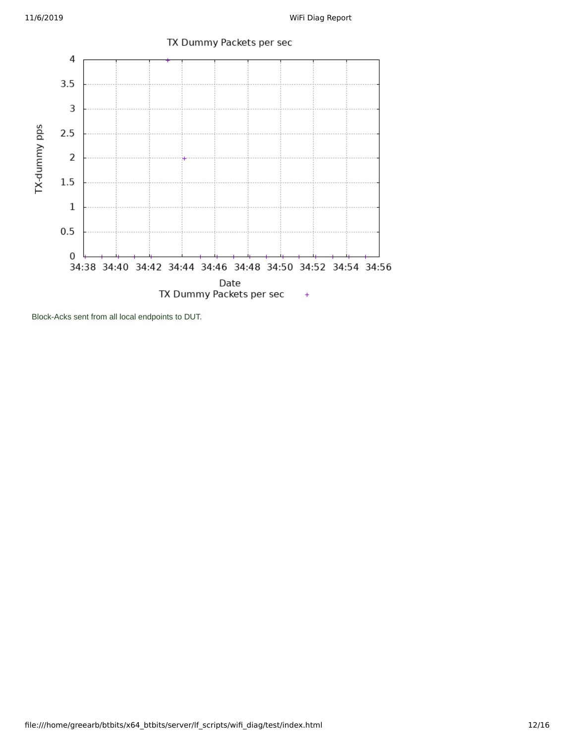

Block-Acks sent from all local endpoints to DUT.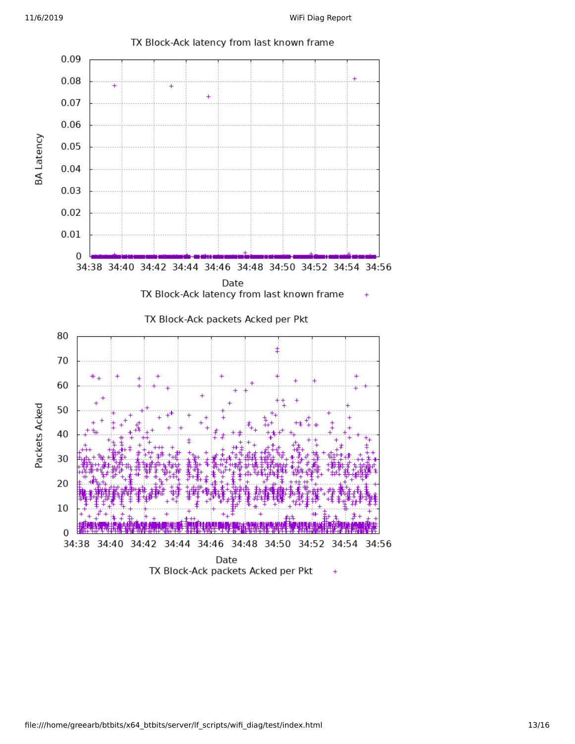

TX Block-Ack latency from last known frame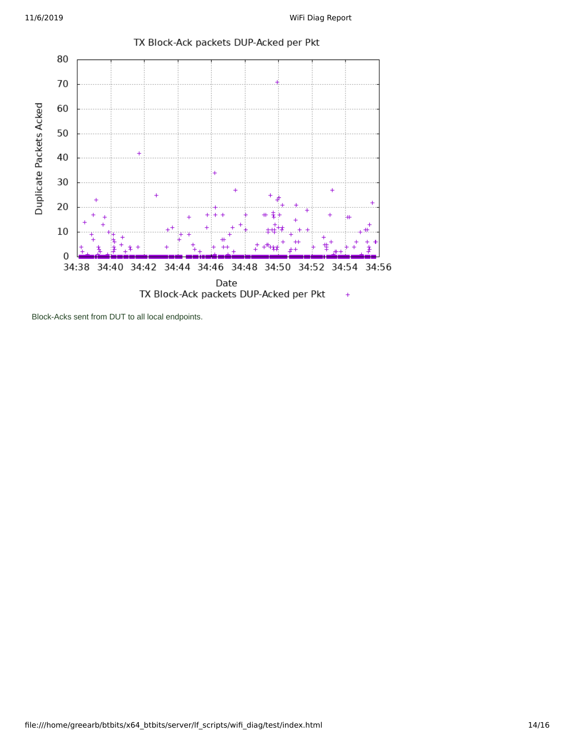

TX Block-Ack packets DUP-Acked per Pkt

Block-Acks sent from DUT to all local endpoints.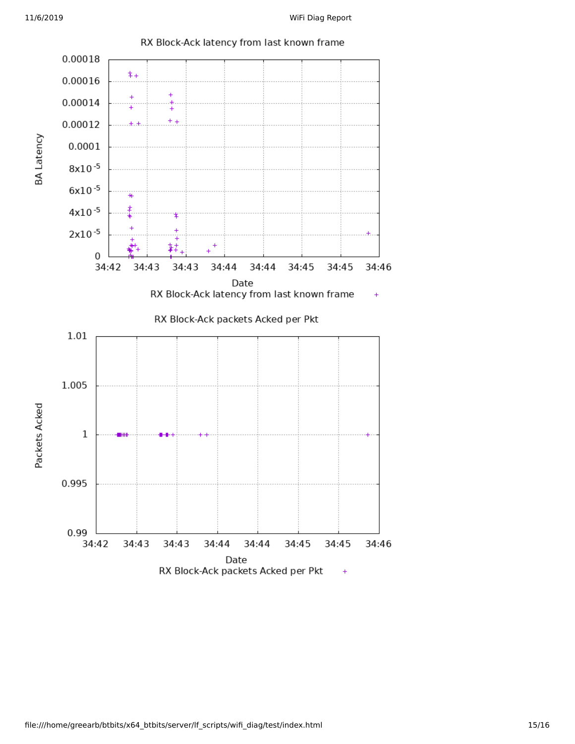

RX Block-Ack latency from last known frame